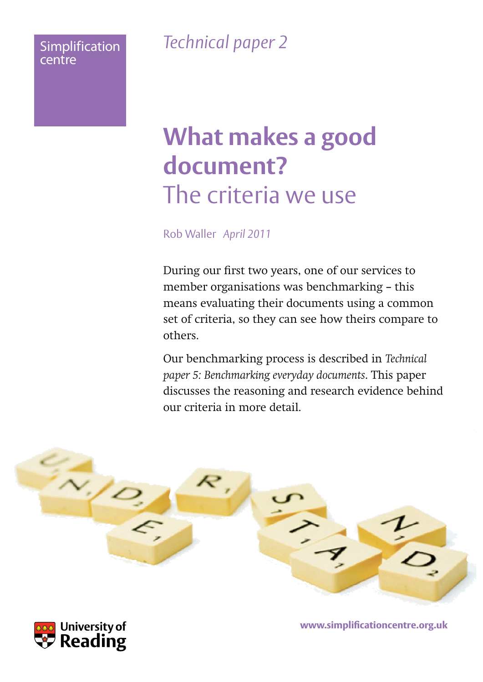### **Simplification** centre

*Technical paper 2*

# **What makes a good document?**  The criteria we use

Rob Waller *April 2011*

During our first two years, one of our services to member organisations was benchmarking – this means evaluating their documents using a common set of criteria, so they can see how theirs compare to others.

Our benchmarking process is described in *Technical paper 5: Benchmarking everyday documents*. This paper discusses the reasoning and research evidence behind our criteria in more detail.





www.simplificationcentre.org.uk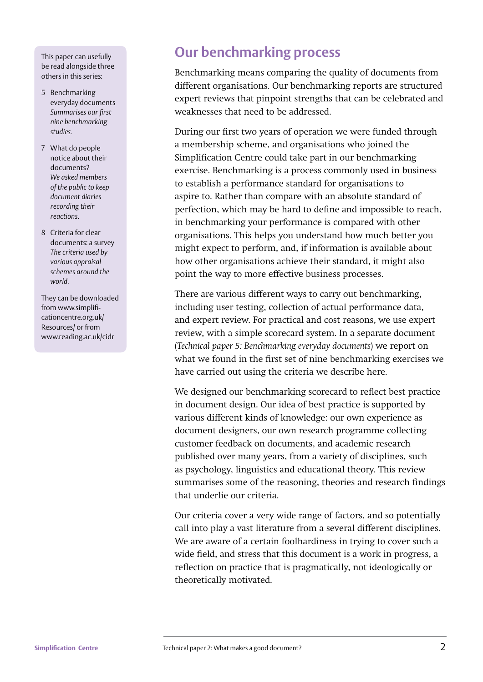This paper can usefully be read alongside three others in this series:

- 5 Benchmarking everyday documents **Summarises our first** *nine benchmarking studies.*
- 7 What do people notice about their documents? *We asked members of the public to keep document diaries recording their reactions*.
- 8 Criteria for clear documents: a survey *The criteria used by various appraisal schemes around the world.*

They can be downloaded from www.simplificationcentre.org.uk/ Resources/ or from www.reading.ac.uk/cidr

### **Our benchmarking process**

Benchmarking means comparing the quality of documents from different organisations. Our benchmarking reports are structured expert reviews that pinpoint strengths that can be celebrated and weaknesses that need to be addressed.

During our first two years of operation we were funded through a membership scheme, and organisations who joined the Simplification Centre could take part in our benchmarking exercise. Benchmarking is a process commonly used in business to establish a performance standard for organisations to aspire to. Rather than compare with an absolute standard of perfection, which may be hard to define and impossible to reach, in benchmarking your performance is compared with other organisations. This helps you understand how much better you might expect to perform, and, if information is available about how other organisations achieve their standard, it might also point the way to more effective business processes.

There are various different ways to carry out benchmarking, including user testing, collection of actual performance data, and expert review. For practical and cost reasons, we use expert review, with a simple scorecard system. In a separate document (*Technical paper 5: Benchmarking everyday documents*) we report on what we found in the first set of nine benchmarking exercises we have carried out using the criteria we describe here.

We designed our benchmarking scorecard to reflect best practice in document design. Our idea of best practice is supported by various different kinds of knowledge: our own experience as document designers, our own research programme collecting customer feedback on documents, and academic research published over many years, from a variety of disciplines, such as psychology, linguistics and educational theory. This review summarises some of the reasoning, theories and research findings that underlie our criteria.

Our criteria cover a very wide range of factors, and so potentially call into play a vast literature from a several different disciplines. We are aware of a certain foolhardiness in trying to cover such a wide field, and stress that this document is a work in progress, a reflection on practice that is pragmatically, not ideologically or theoretically motivated.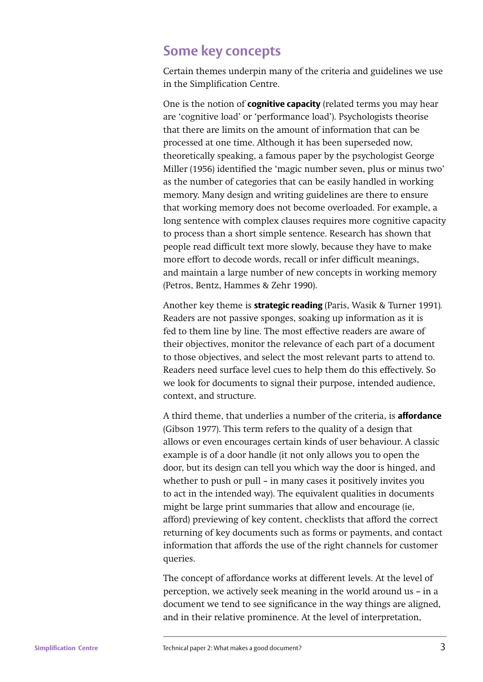### **Some key concepts**

Certain themes underpin many of the criteria and guidelines we use in the Simplification Centre.

One is the notion of **cognitive capacity** (related terms you may hear are 'cognitive load' or 'performance load'). Psychologists theorise that there are limits on the amount of information that can be processed at one time. Although it has been superseded now, theoretically speaking, a famous paper by the psychologist George Miller (1956) identified the 'magic number seven, plus or minus two' as the number of categories that can be easily handled in working memory. Many design and writing guidelines are there to ensure that working memory does not become overloaded. For example, a long sentence with complex clauses requires more cognitive capacity to process than a short simple sentence. Research has shown that people read difficult text more slowly, because they have to make more effort to decode words, recall or infer difficult meanings, and maintain a large number of new concepts in working memory (Petros, Bentz, Hammes & Zehr 1990).

Another key theme is **strategic reading** (Paris, Wasik & Turner 1991)*.*  Readers are not passive sponges, soaking up information as it is fed to them line by line. The most effective readers are aware of their objectives, monitor the relevance of each part of a document to those objectives, and select the most relevant parts to attend to. Readers need surface level cues to help them do this effectively. So we look for documents to signal their purpose, intended audience, context, and structure.

A third theme, that underlies a number of the criteria, is **affordance** (Gibson 1977). This term refers to the quality of a design that allows or even encourages certain kinds of user behaviour. A classic example is of a door handle (it not only allows you to open the door, but its design can tell you which way the door is hinged, and whether to push or pull – in many cases it positively invites you to act in the intended way). The equivalent qualities in documents might be large print summaries that allow and encourage (ie, afford) previewing of key content, checklists that afford the correct returning of key documents such as forms or payments, and contact information that affords the use of the right channels for customer queries.

The concept of affordance works at different levels. At the level of perception, we actively seek meaning in the world around us – in a document we tend to see significance in the way things are aligned, and in their relative prominence. At the level of interpretation,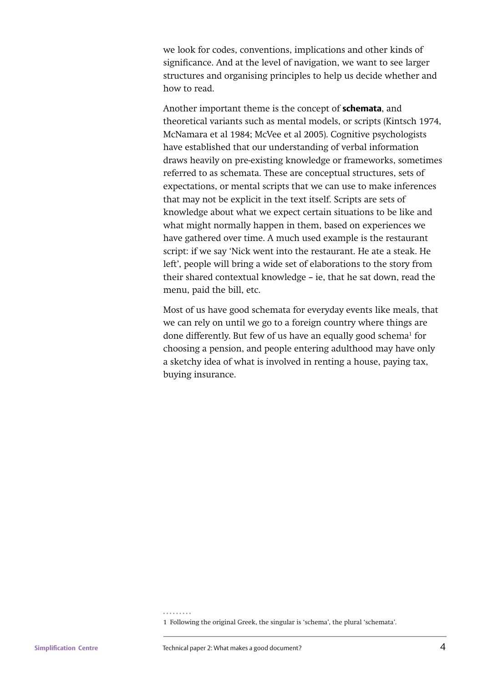we look for codes, conventions, implications and other kinds of significance. And at the level of navigation, we want to see larger structures and organising principles to help us decide whether and how to read.

Another important theme is the concept of **schemata**, and theoretical variants such as mental models, or scripts (Kintsch 1974, McNamara et al 1984; McVee et al 2005). Cognitive psychologists have established that our understanding of verbal information draws heavily on pre-existing knowledge or frameworks, sometimes referred to as schemata. These are conceptual structures, sets of expectations, or mental scripts that we can use to make inferences that may not be explicit in the text itself. Scripts are sets of knowledge about what we expect certain situations to be like and what might normally happen in them, based on experiences we have gathered over time. A much used example is the restaurant script: if we say 'Nick went into the restaurant. He ate a steak. He left', people will bring a wide set of elaborations to the story from their shared contextual knowledge – ie, that he sat down, read the menu, paid the bill, etc.

Most of us have good schemata for everyday events like meals, that we can rely on until we go to a foreign country where things are done differently. But few of us have an equally good schema<sup>1</sup> for choosing a pension, and people entering adulthood may have only a sketchy idea of what is involved in renting a house, paying tax, buying insurance.

<sup>1</sup> Following the original Greek, the singular is 'schema', the plural 'schemata'.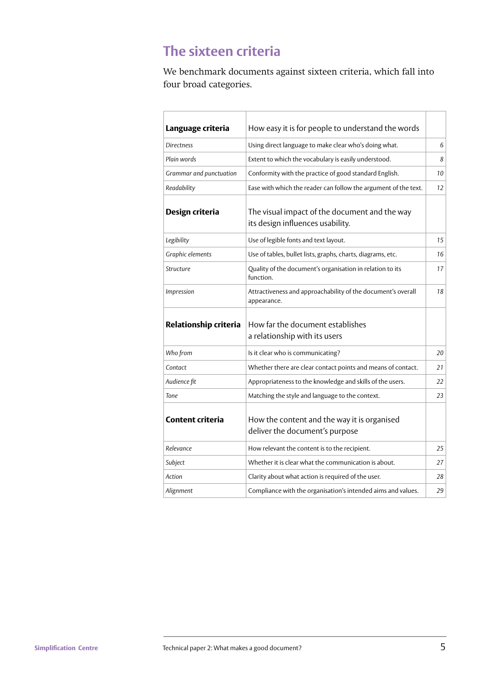### **The sixteen criteria**

We benchmark documents against sixteen criteria, which fall into four broad categories.

| Language criteria       | How easy it is for people to understand the words                                 |    |
|-------------------------|-----------------------------------------------------------------------------------|----|
| <b>Directness</b>       | Using direct language to make clear who's doing what.                             | 6  |
| Plain words             | Extent to which the vocabulary is easily understood.                              | 8  |
| Grammar and punctuation | Conformity with the practice of good standard English.                            | 10 |
| Readability             | Ease with which the reader can follow the argument of the text.                   | 12 |
| Design criteria         | The visual impact of the document and the way<br>its design influences usability. |    |
| Legibility              | Use of legible fonts and text layout.                                             | 15 |
| Graphic elements        | Use of tables, bullet lists, graphs, charts, diagrams, etc.                       | 16 |
| Structure               | Quality of the document's organisation in relation to its<br>function.            | 17 |
| Impression              | Attractiveness and approachability of the document's overall<br>appearance.       | 18 |
| Relationship criteria   | How far the document establishes<br>a relationship with its users                 |    |
| Who from                | Is it clear who is communicating?                                                 | 20 |
| Contact                 | Whether there are clear contact points and means of contact.                      | 21 |
| Audience fit            | Appropriateness to the knowledge and skills of the users.                         | 22 |
| Tone                    | Matching the style and language to the context.                                   | 23 |
| <b>Content criteria</b> | How the content and the way it is organised<br>deliver the document's purpose     |    |
| Relevance               | How relevant the content is to the recipient.                                     | 25 |
| Subject                 | Whether it is clear what the communication is about.                              | 27 |
| Action                  | Clarity about what action is required of the user.                                | 28 |
| Alignment               | Compliance with the organisation's intended aims and values.                      | 29 |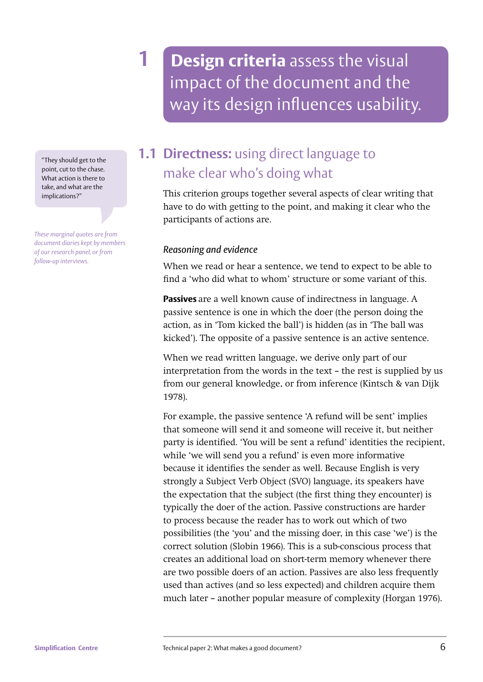**1 Design criteria** assess the visual impact of the document and the way its design influences usability.

"They should get to the point, cut to the chase. What action is there to take, and what are the implications?"

*These marginal quotes are from document diaries kept by members of our research panel, or from follow-up interviews.*

### **1.1 Directness:** using direct language to make clear who's doing what

This criterion groups together several aspects of clear writing that have to do with getting to the point, and making it clear who the participants of actions are.

### *Reasoning and evidence*

When we read or hear a sentence, we tend to expect to be able to find a 'who did what to whom' structure or some variant of this.

**Passives** are a well known cause of indirectness in language. A passive sentence is one in which the doer (the person doing the action, as in 'Tom kicked the ball') is hidden (as in 'The ball was kicked'). The opposite of a passive sentence is an active sentence.

When we read written language, we derive only part of our interpretation from the words in the text – the rest is supplied by us from our general knowledge, or from inference (Kintsch & van Dijk 1978).

For example, the passive sentence 'A refund will be sent' implies that someone will send it and someone will receive it, but neither party is identified. 'You will be sent a refund' identities the recipient, while 'we will send you a refund' is even more informative because it identifies the sender as well. Because English is very strongly a Subject Verb Object (SVO) language, its speakers have the expectation that the subject (the first thing they encounter) is typically the doer of the action. Passive constructions are harder to process because the reader has to work out which of two possibilities (the 'you' and the missing doer, in this case 'we') is the correct solution (Slobin 1966). This is a sub-conscious process that creates an additional load on short-term memory whenever there are two possible doers of an action. Passives are also less frequently used than actives (and so less expected) and children acquire them much later – another popular measure of complexity (Horgan 1976).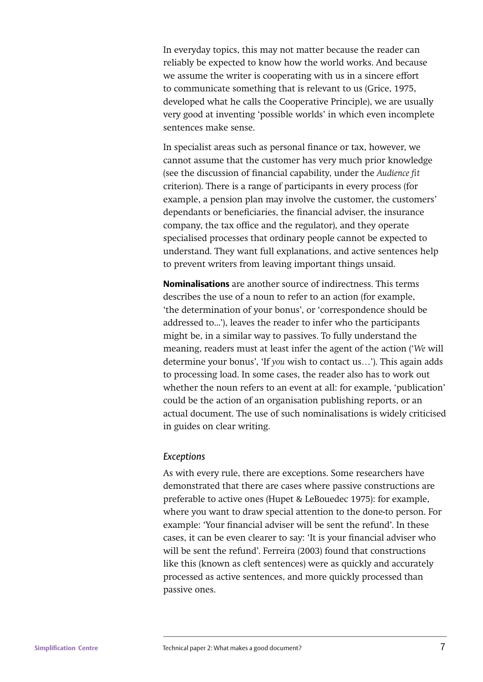In everyday topics, this may not matter because the reader can reliably be expected to know how the world works. And because we assume the writer is cooperating with us in a sincere effort to communicate something that is relevant to us (Grice, 1975, developed what he calls the Cooperative Principle), we are usually very good at inventing 'possible worlds' in which even incomplete sentences make sense.

In specialist areas such as personal finance or tax, however, we cannot assume that the customer has very much prior knowledge (see the discussion of financial capability, under the *Audience fit* criterion). There is a range of participants in every process (for example, a pension plan may involve the customer, the customers' dependants or beneficiaries, the financial adviser, the insurance company, the tax office and the regulator), and they operate specialised processes that ordinary people cannot be expected to understand. They want full explanations, and active sentences help to prevent writers from leaving important things unsaid.

**Nominalisations** are another source of indirectness. This terms describes the use of a noun to refer to an action (for example, 'the determination of your bonus', or 'correspondence should be addressed to...'), leaves the reader to infer who the participants might be, in a similar way to passives. To fully understand the meaning, readers must at least infer the agent of the action ('*We* will determine your bonus', 'If *you* wish to contact us…'). This again adds to processing load. In some cases, the reader also has to work out whether the noun refers to an event at all: for example, 'publication' could be the action of an organisation publishing reports, or an actual document. The use of such nominalisations is widely criticised in guides on clear writing.

#### *Exceptions*

As with every rule, there are exceptions. Some researchers have demonstrated that there are cases where passive constructions are preferable to active ones (Hupet & LeBouedec 1975): for example, where you want to draw special attention to the done-to person. For example: 'Your financial adviser will be sent the refund'. In these cases, it can be even clearer to say: 'It is your financial adviser who will be sent the refund'. Ferreira (2003) found that constructions like this (known as cleft sentences) were as quickly and accurately processed as active sentences, and more quickly processed than passive ones.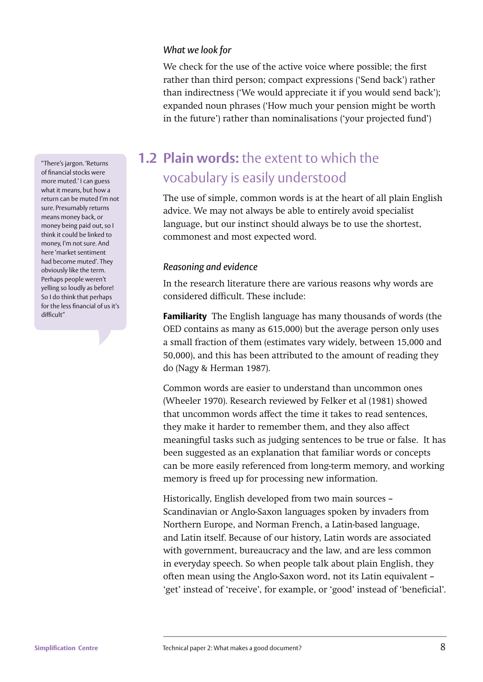#### *What we look for*

We check for the use of the active voice where possible; the first rather than third person; compact expressions ('Send back') rather than indirectness ('We would appreciate it if you would send back'); expanded noun phrases ('How much your pension might be worth in the future') rather than nominalisations ('your projected fund')

**1.2 Plain words:** the extent to which the vocabulary is easily understood

The use of simple, common words is at the heart of all plain English advice. We may not always be able to entirely avoid specialist language, but our instinct should always be to use the shortest, commonest and most expected word.

#### *Reasoning and evidence*

In the research literature there are various reasons why words are considered difficult. These include:

**Familiarity** The English language has many thousands of words (the OED contains as many as 615,000) but the average person only uses a small fraction of them (estimates vary widely, between 15,000 and 50,000), and this has been attributed to the amount of reading they do (Nagy & Herman 1987).

Common words are easier to understand than uncommon ones (Wheeler 1970). Research reviewed by Felker et al (1981) showed that uncommon words affect the time it takes to read sentences, they make it harder to remember them, and they also affect meaningful tasks such as judging sentences to be true or false. It has been suggested as an explanation that familiar words or concepts can be more easily referenced from long-term memory, and working memory is freed up for processing new information.

Historically, English developed from two main sources – Scandinavian or Anglo-Saxon languages spoken by invaders from Northern Europe, and Norman French, a Latin-based language, and Latin itself. Because of our history, Latin words are associated with government, bureaucracy and the law, and are less common in everyday speech. So when people talk about plain English, they often mean using the Anglo-Saxon word, not its Latin equivalent – 'get' instead of 'receive', for example, or 'good' instead of 'beneficial'.

"There's jargon. 'Returns of financial stocks were more muted.' I can guess what it means, but how a return can be muted I'm not sure. Presumably returns means money back, or money being paid out, so I think it could be linked to money, I'm not sure. And here 'market sentiment had become muted'. They obviously like the term. Perhaps people weren't yelling so loudly as before! So I do think that perhaps for the less financial of us it's difficult"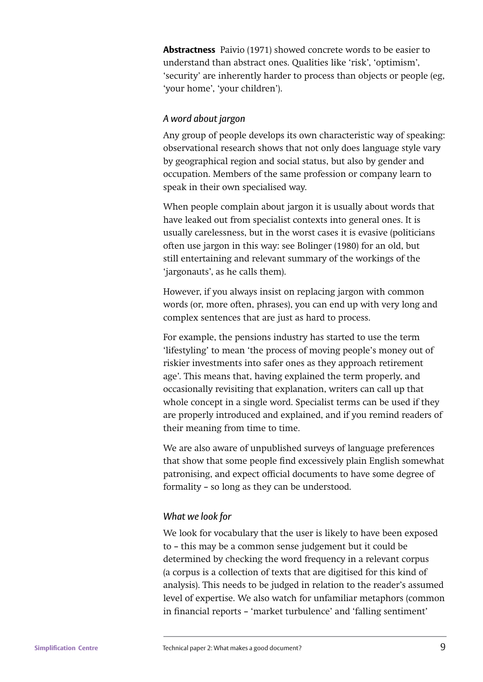**Abstractness** Paivio (1971) showed concrete words to be easier to understand than abstract ones. Qualities like 'risk', 'optimism', 'security' are inherently harder to process than objects or people (eg, 'your home', 'your children').

### *A word about jargon*

Any group of people develops its own characteristic way of speaking: observational research shows that not only does language style vary by geographical region and social status, but also by gender and occupation. Members of the same profession or company learn to speak in their own specialised way.

When people complain about jargon it is usually about words that have leaked out from specialist contexts into general ones. It is usually carelessness, but in the worst cases it is evasive (politicians often use jargon in this way: see Bolinger (1980) for an old, but still entertaining and relevant summary of the workings of the 'jargonauts', as he calls them).

However, if you always insist on replacing jargon with common words (or, more often, phrases), you can end up with very long and complex sentences that are just as hard to process.

For example, the pensions industry has started to use the term 'lifestyling' to mean 'the process of moving people's money out of riskier investments into safer ones as they approach retirement age'. This means that, having explained the term properly, and occasionally revisiting that explanation, writers can call up that whole concept in a single word. Specialist terms can be used if they are properly introduced and explained, and if you remind readers of their meaning from time to time.

We are also aware of unpublished surveys of language preferences that show that some people find excessively plain English somewhat patronising, and expect official documents to have some degree of formality – so long as they can be understood.

### *What we look for*

We look for vocabulary that the user is likely to have been exposed to – this may be a common sense judgement but it could be determined by checking the word frequency in a relevant corpus (a corpus is a collection of texts that are digitised for this kind of analysis). This needs to be judged in relation to the reader's assumed level of expertise. We also watch for unfamiliar metaphors (common in financial reports – 'market turbulence' and 'falling sentiment'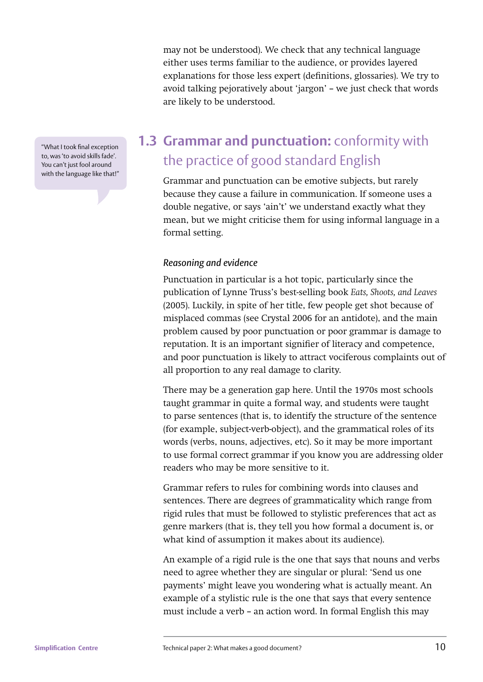"What I took final exception to, was 'to avoid skills fade'. You can't just fool around with the language like that!"

### may not be understood). We check that any technical language either uses terms familiar to the audience, or provides layered explanations for those less expert (definitions, glossaries). We try to avoid talking pejoratively about 'jargon' – we just check that words are likely to be understood.

## **1.3 Grammar and punctuation:** conformity with the practice of good standard English

Grammar and punctuation can be emotive subjects, but rarely because they cause a failure in communication. If someone uses a double negative, or says 'ain't' we understand exactly what they mean, but we might criticise them for using informal language in a formal setting.

### *Reasoning and evidence*

Punctuation in particular is a hot topic, particularly since the publication of Lynne Truss's best-selling book *Eats, Shoots, and Leaves*  (2005). Luckily, in spite of her title, few people get shot because of misplaced commas (see Crystal 2006 for an antidote), and the main problem caused by poor punctuation or poor grammar is damage to reputation. It is an important signifier of literacy and competence, and poor punctuation is likely to attract vociferous complaints out of all proportion to any real damage to clarity.

There may be a generation gap here. Until the 1970s most schools taught grammar in quite a formal way, and students were taught to parse sentences (that is, to identify the structure of the sentence (for example, subject-verb-object), and the grammatical roles of its words (verbs, nouns, adjectives, etc). So it may be more important to use formal correct grammar if you know you are addressing older readers who may be more sensitive to it.

Grammar refers to rules for combining words into clauses and sentences. There are degrees of grammaticality which range from rigid rules that must be followed to stylistic preferences that act as genre markers (that is, they tell you how formal a document is, or what kind of assumption it makes about its audience).

An example of a rigid rule is the one that says that nouns and verbs need to agree whether they are singular or plural: 'Send us one payments' might leave you wondering what is actually meant. An example of a stylistic rule is the one that says that every sentence must include a verb – an action word. In formal English this may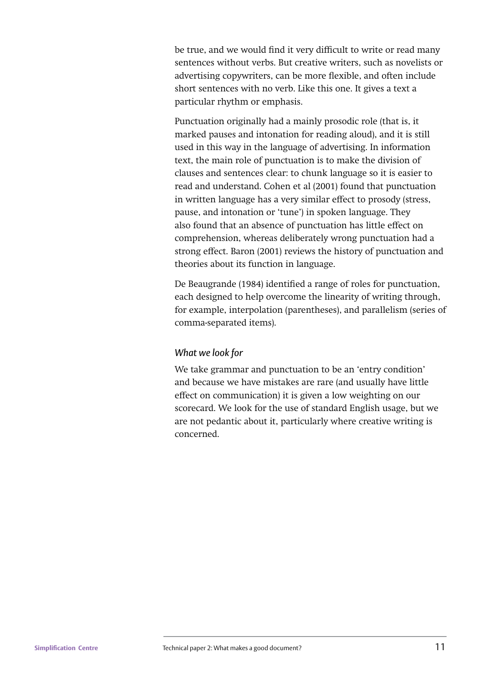be true, and we would find it very difficult to write or read many sentences without verbs. But creative writers, such as novelists or advertising copywriters, can be more flexible, and often include short sentences with no verb. Like this one. It gives a text a particular rhythm or emphasis.

Punctuation originally had a mainly prosodic role (that is, it marked pauses and intonation for reading aloud), and it is still used in this way in the language of advertising. In information text, the main role of punctuation is to make the division of clauses and sentences clear: to chunk language so it is easier to read and understand. Cohen et al (2001) found that punctuation in written language has a very similar effect to prosody (stress, pause, and intonation or 'tune') in spoken language. They also found that an absence of punctuation has little effect on comprehension, whereas deliberately wrong punctuation had a strong effect. Baron (2001) reviews the history of punctuation and theories about its function in language.

De Beaugrande (1984) identified a range of roles for punctuation, each designed to help overcome the linearity of writing through, for example, interpolation (parentheses), and parallelism (series of comma-separated items).

#### *What we look for*

We take grammar and punctuation to be an 'entry condition' and because we have mistakes are rare (and usually have little effect on communication) it is given a low weighting on our scorecard. We look for the use of standard English usage, but we are not pedantic about it, particularly where creative writing is concerned.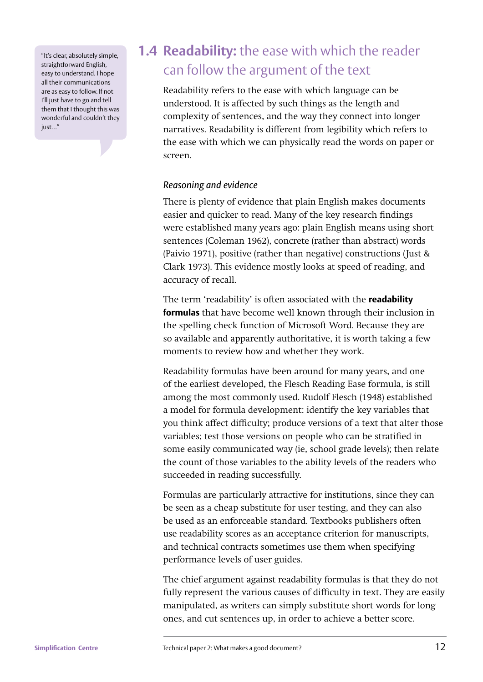"It's clear, absolutely simple, straightforward English, easy to understand. I hope all their communications are as easy to follow. If not I'll just have to go and tell them that I thought this was wonderful and couldn't they just…"

# **1.4 Readability:** the ease with which the reader can follow the argument of the text

Readability refers to the ease with which language can be understood. It is affected by such things as the length and complexity of sentences, and the way they connect into longer narratives. Readability is different from legibility which refers to the ease with which we can physically read the words on paper or screen.

### *Reasoning and evidence*

There is plenty of evidence that plain English makes documents easier and quicker to read. Many of the key research findings were established many years ago: plain English means using short sentences (Coleman 1962), concrete (rather than abstract) words (Paivio 1971), positive (rather than negative) constructions (Just & Clark 1973). This evidence mostly looks at speed of reading, and accuracy of recall.

The term 'readability' is often associated with the **readability formulas** that have become well known through their inclusion in the spelling check function of Microsoft Word. Because they are so available and apparently authoritative, it is worth taking a few moments to review how and whether they work.

Readability formulas have been around for many years, and one of the earliest developed, the Flesch Reading Ease formula, is still among the most commonly used. Rudolf Flesch (1948) established a model for formula development: identify the key variables that you think affect difficulty; produce versions of a text that alter those variables; test those versions on people who can be stratified in some easily communicated way (ie, school grade levels); then relate the count of those variables to the ability levels of the readers who succeeded in reading successfully.

Formulas are particularly attractive for institutions, since they can be seen as a cheap substitute for user testing, and they can also be used as an enforceable standard. Textbooks publishers often use readability scores as an acceptance criterion for manuscripts, and technical contracts sometimes use them when specifying performance levels of user guides.

The chief argument against readability formulas is that they do not fully represent the various causes of difficulty in text. They are easily manipulated, as writers can simply substitute short words for long ones, and cut sentences up, in order to achieve a better score.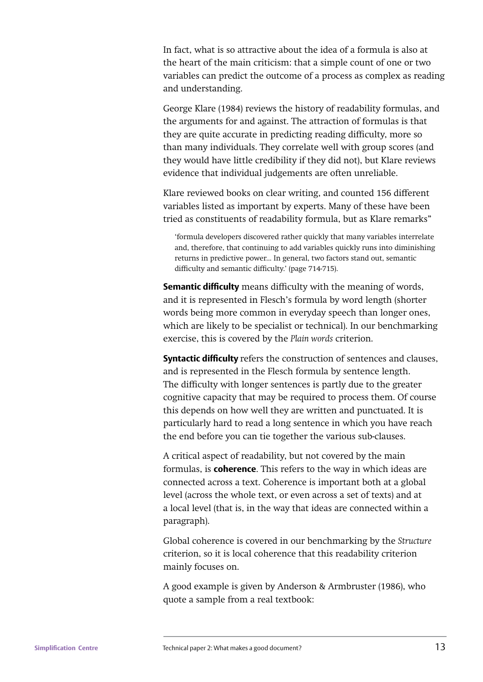In fact, what is so attractive about the idea of a formula is also at the heart of the main criticism: that a simple count of one or two variables can predict the outcome of a process as complex as reading and understanding.

George Klare (1984) reviews the history of readability formulas, and the arguments for and against. The attraction of formulas is that they are quite accurate in predicting reading difficulty, more so than many individuals. They correlate well with group scores (and they would have little credibility if they did not), but Klare reviews evidence that individual judgements are often unreliable.

Klare reviewed books on clear writing, and counted 156 different variables listed as important by experts. Many of these have been tried as constituents of readability formula, but as Klare remarks"

'formula developers discovered rather quickly that many variables interrelate and, therefore, that continuing to add variables quickly runs into diminishing returns in predictive power... In general, two factors stand out, semantic difficulty and semantic difficulty.' (page 714-715).

**Semantic difficulty** means difficulty with the meaning of words, and it is represented in Flesch's formula by word length (shorter words being more common in everyday speech than longer ones, which are likely to be specialist or technical). In our benchmarking exercise, this is covered by the *Plain words* criterion.

**Syntactic difficulty** refers the construction of sentences and clauses, and is represented in the Flesch formula by sentence length. The difficulty with longer sentences is partly due to the greater cognitive capacity that may be required to process them. Of course this depends on how well they are written and punctuated. It is particularly hard to read a long sentence in which you have reach the end before you can tie together the various sub-clauses.

A critical aspect of readability, but not covered by the main formulas, is **coherence**. This refers to the way in which ideas are connected across a text. Coherence is important both at a global level (across the whole text, or even across a set of texts) and at a local level (that is, in the way that ideas are connected within a paragraph).

Global coherence is covered in our benchmarking by the *Structure* criterion, so it is local coherence that this readability criterion mainly focuses on.

A good example is given by Anderson & Armbruster (1986), who quote a sample from a real textbook: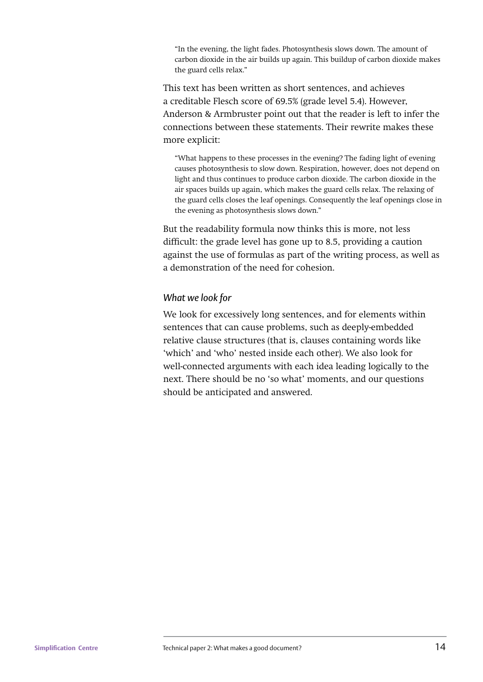"In the evening, the light fades. Photosynthesis slows down. The amount of carbon dioxide in the air builds up again. This buildup of carbon dioxide makes the guard cells relax."

This text has been written as short sentences, and achieves a creditable Flesch score of 69.5% (grade level 5.4). However, Anderson & Armbruster point out that the reader is left to infer the connections between these statements. Their rewrite makes these more explicit:

"What happens to these processes in the evening? The fading light of evening causes photosynthesis to slow down. Respiration, however, does not depend on light and thus continues to produce carbon dioxide. The carbon dioxide in the air spaces builds up again, which makes the guard cells relax. The relaxing of the guard cells closes the leaf openings. Consequently the leaf openings close in the evening as photosynthesis slows down."

But the readability formula now thinks this is more, not less difficult: the grade level has gone up to 8.5, providing a caution against the use of formulas as part of the writing process, as well as a demonstration of the need for cohesion.

#### *What we look for*

We look for excessively long sentences, and for elements within sentences that can cause problems, such as deeply-embedded relative clause structures (that is, clauses containing words like 'which' and 'who' nested inside each other). We also look for well-connected arguments with each idea leading logically to the next. There should be no 'so what' moments, and our questions should be anticipated and answered.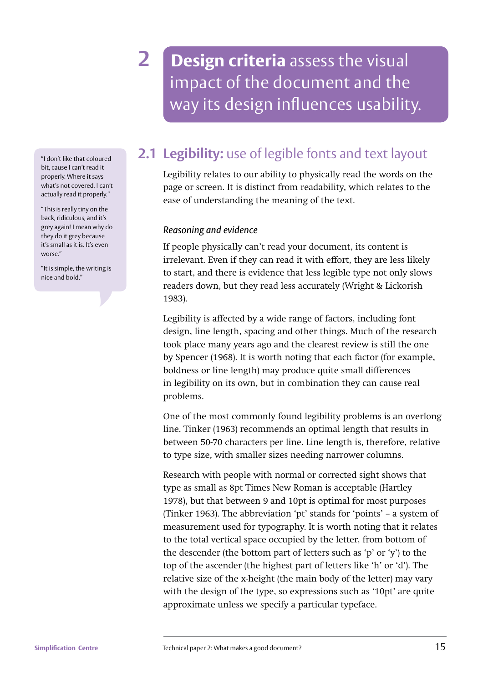**2 Design criteria** assess the visual impact of the document and the way its design influences usability.

**2.1 Legibility:** use of legible fonts and text layout

Legibility relates to our ability to physically read the words on the page or screen. It is distinct from readability, which relates to the ease of understanding the meaning of the text.

#### *Reasoning and evidence*

If people physically can't read your document, its content is irrelevant. Even if they can read it with effort, they are less likely to start, and there is evidence that less legible type not only slows readers down, but they read less accurately (Wright & Lickorish 1983).

Legibility is affected by a wide range of factors, including font design, line length, spacing and other things. Much of the research took place many years ago and the clearest review is still the one by Spencer (1968). It is worth noting that each factor (for example, boldness or line length) may produce quite small differences in legibility on its own, but in combination they can cause real problems.

One of the most commonly found legibility problems is an overlong line. Tinker (1963) recommends an optimal length that results in between 50-70 characters per line. Line length is, therefore, relative to type size, with smaller sizes needing narrower columns.

Research with people with normal or corrected sight shows that type as small as 8pt Times New Roman is acceptable (Hartley 1978), but that between 9 and 10pt is optimal for most purposes (Tinker 1963). The abbreviation 'pt' stands for 'points' – a system of measurement used for typography. It is worth noting that it relates to the total vertical space occupied by the letter, from bottom of the descender (the bottom part of letters such as 'p' or 'y') to the top of the ascender (the highest part of letters like 'h' or 'd'). The relative size of the x-height (the main body of the letter) may vary with the design of the type, so expressions such as '10pt' are quite approximate unless we specify a particular typeface.

"I don't like that coloured bit, cause I can't read it properly. Where it says what's not covered, I can't actually read it properly."

"This is really tiny on the back, ridiculous, and it's grey again! I mean why do they do it grey because it's small as it is. It's even worse."

"It is simple, the writing is nice and bold."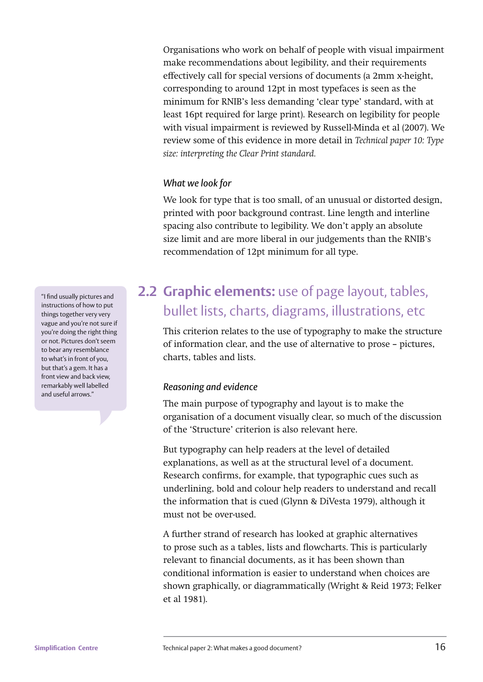Organisations who work on behalf of people with visual impairment make recommendations about legibility, and their requirements effectively call for special versions of documents (a 2mm x-height, corresponding to around 12pt in most typefaces is seen as the minimum for RNIB's less demanding 'clear type' standard, with at least 16pt required for large print). Research on legibility for people with visual impairment is reviewed by Russell-Minda et al (2007). We review some of this evidence in more detail in *Technical paper 10: Type size: interpreting the Clear Print standard.*

#### *What we look for*

We look for type that is too small, of an unusual or distorted design, printed with poor background contrast. Line length and interline spacing also contribute to legibility. We don't apply an absolute size limit and are more liberal in our judgements than the RNIB's recommendation of 12pt minimum for all type.

# **2.2 Graphic elements:** use of page layout, tables, bullet lists, charts, diagrams, illustrations, etc

This criterion relates to the use of typography to make the structure of information clear, and the use of alternative to prose – pictures, charts, tables and lists.

### *Reasoning and evidence*

The main purpose of typography and layout is to make the organisation of a document visually clear, so much of the discussion of the 'Structure' criterion is also relevant here.

But typography can help readers at the level of detailed explanations, as well as at the structural level of a document. Research confirms, for example, that typographic cues such as underlining, bold and colour help readers to understand and recall the information that is cued (Glynn & DiVesta 1979), although it must not be over-used.

A further strand of research has looked at graphic alternatives to prose such as a tables, lists and flowcharts. This is particularly relevant to financial documents, as it has been shown than conditional information is easier to understand when choices are shown graphically, or diagrammatically (Wright & Reid 1973; Felker et al 1981).

"I find usually pictures and instructions of how to put things together very very vague and you're not sure if you're doing the right thing or not. Pictures don't seem to bear any resemblance to what's in front of you, but that's a gem. It has a front view and back view, remarkably well labelled and useful arrows."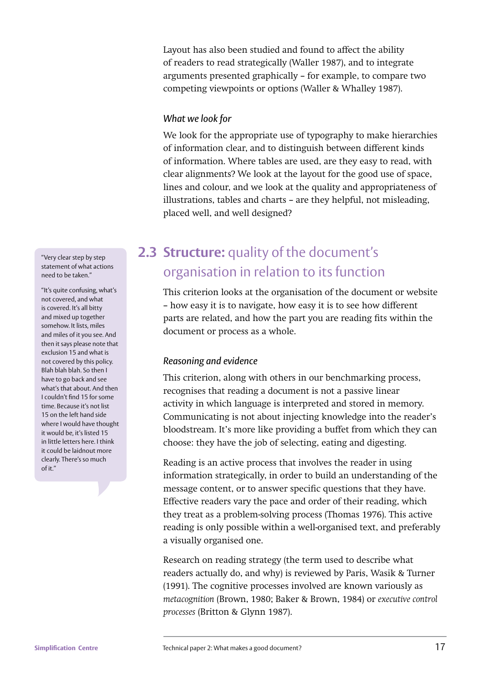Layout has also been studied and found to affect the ability of readers to read strategically (Waller 1987), and to integrate arguments presented graphically – for example, to compare two competing viewpoints or options (Waller & Whalley 1987).

#### *What we look for*

We look for the appropriate use of typography to make hierarchies of information clear, and to distinguish between different kinds of information. Where tables are used, are they easy to read, with clear alignments? We look at the layout for the good use of space, lines and colour, and we look at the quality and appropriateness of illustrations, tables and charts – are they helpful, not misleading, placed well, and well designed?

### **2.3 Structure:** quality of the document's organisation in relation to its function

This criterion looks at the organisation of the document or website – how easy it is to navigate, how easy it is to see how different parts are related, and how the part you are reading fits within the document or process as a whole.

### *Reasoning and evidence*

This criterion, along with others in our benchmarking process, recognises that reading a document is not a passive linear activity in which language is interpreted and stored in memory. Communicating is not about injecting knowledge into the reader's bloodstream. It's more like providing a buffet from which they can choose: they have the job of selecting, eating and digesting.

Reading is an active process that involves the reader in using information strategically, in order to build an understanding of the message content, or to answer specific questions that they have. Effective readers vary the pace and order of their reading, which they treat as a problem-solving process (Thomas 1976). This active reading is only possible within a well-organised text, and preferably a visually organised one.

Research on reading strategy (the term used to describe what readers actually do, and why) is reviewed by Paris, Wasik & Turner (1991). The cognitive processes involved are known variously as *metacognition* (Brown, 1980; Baker & Brown, 1984) or *executive control processes* (Britton & Glynn 1987).

"Very clear step by step statement of what actions need to be taken."

"It's quite confusing, what's not covered, and what is covered. It's all bitty and mixed up together somehow. It lists, miles and miles of it you see. And then it says please note that exclusion 15 and what is not covered by this policy. Blah blah blah. So then I have to go back and see what's that about. And then I couldn't find 15 for some time. Because it's not list 15 on the left hand side where I would have thought it would be, it's listed 15 in little letters here. I think it could be laidnout more clearly. There's so much of it."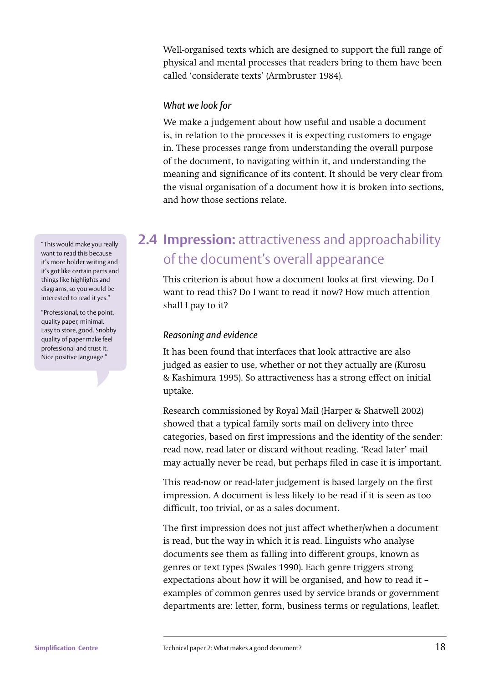Well-organised texts which are designed to support the full range of physical and mental processes that readers bring to them have been called 'considerate texts' (Armbruster 1984).

#### *What we look for*

We make a judgement about how useful and usable a document is, in relation to the processes it is expecting customers to engage in. These processes range from understanding the overall purpose of the document, to navigating within it, and understanding the meaning and significance of its content. It should be very clear from the visual organisation of a document how it is broken into sections, and how those sections relate.

### **2.4 Impression:** attractiveness and approachability of the document's overall appearance

This criterion is about how a document looks at first viewing. Do I want to read this? Do I want to read it now? How much attention shall I pay to it?

### *Reasoning and evidence*

It has been found that interfaces that look attractive are also judged as easier to use, whether or not they actually are (Kurosu & Kashimura 1995). So attractiveness has a strong effect on initial uptake.

Research commissioned by Royal Mail (Harper & Shatwell 2002) showed that a typical family sorts mail on delivery into three categories, based on first impressions and the identity of the sender: read now, read later or discard without reading. 'Read later' mail may actually never be read, but perhaps filed in case it is important.

This read-now or read-later judgement is based largely on the first impression. A document is less likely to be read if it is seen as too difficult, too trivial, or as a sales document.

The first impression does not just affect whether/when a document is read, but the way in which it is read. Linguists who analyse documents see them as falling into different groups, known as genres or text types (Swales 1990). Each genre triggers strong expectations about how it will be organised, and how to read it – examples of common genres used by service brands or government departments are: letter, form, business terms or regulations, leaflet.

"This would make you really want to read this because it's more bolder writing and it's got like certain parts and things like highlights and diagrams, so you would be interested to read it yes."

"Professional, to the point, quality paper, minimal. Easy to store, good. Snobby quality of paper make feel professional and trust it. Nice positive language."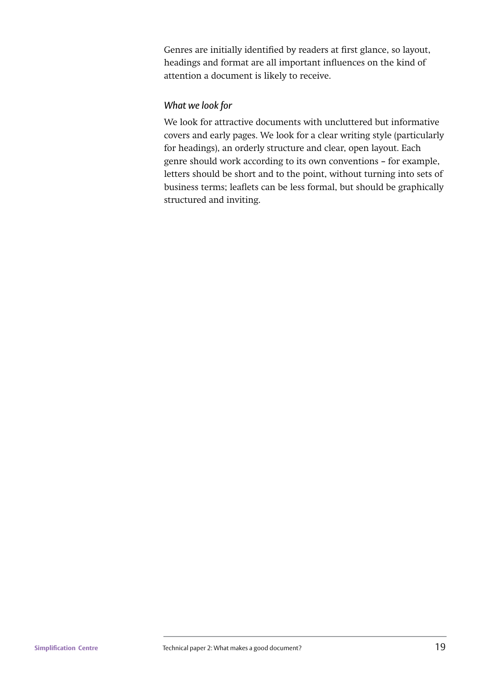Genres are initially identified by readers at first glance, so layout, headings and format are all important influences on the kind of attention a document is likely to receive.

### *What we look for*

We look for attractive documents with uncluttered but informative covers and early pages. We look for a clear writing style (particularly for headings), an orderly structure and clear, open layout. Each genre should work according to its own conventions – for example, letters should be short and to the point, without turning into sets of business terms; leaflets can be less formal, but should be graphically structured and inviting.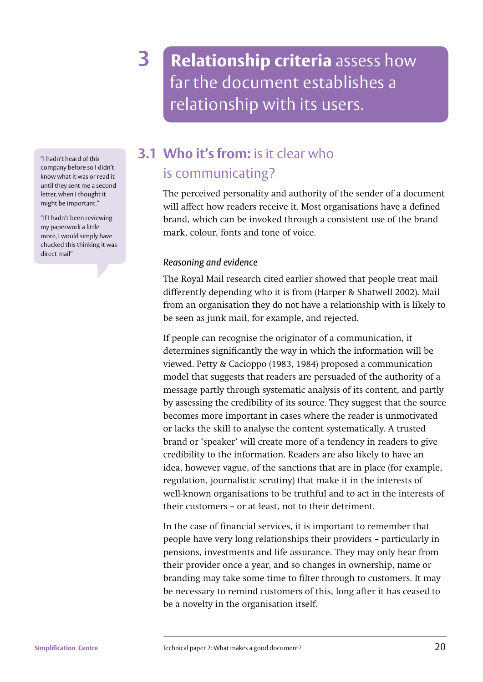**3 Relationship criteria** assess how far the document establishes a relationship with its users.

"I hadn't heard of this company before so I didn't know what it was or read it until they sent me a second letter, when I thought it might be important."

"If I hadn't been reviewing my paperwork a little more, I would simply have chucked this thinking it was direct mail"

# **3.1 Who it's from:** is it clear who is communicating?

The perceived personality and authority of the sender of a document will affect how readers receive it. Most organisations have a defined brand, which can be invoked through a consistent use of the brand mark, colour, fonts and tone of voice.

### *Reasoning and evidence*

The Royal Mail research cited earlier showed that people treat mail differently depending who it is from (Harper & Shatwell 2002). Mail from an organisation they do not have a relationship with is likely to be seen as junk mail, for example, and rejected.

If people can recognise the originator of a communication, it determines significantly the way in which the information will be viewed. Petty & Cacioppo (1983, 1984) proposed a communication model that suggests that readers are persuaded of the authority of a message partly through systematic analysis of its content, and partly by assessing the credibility of its source. They suggest that the source becomes more important in cases where the reader is unmotivated or lacks the skill to analyse the content systematically. A trusted brand or 'speaker' will create more of a tendency in readers to give credibility to the information. Readers are also likely to have an idea, however vague, of the sanctions that are in place (for example, regulation, journalistic scrutiny) that make it in the interests of well-known organisations to be truthful and to act in the interests of their customers – or at least, not to their detriment.

In the case of financial services, it is important to remember that people have very long relationships their providers – particularly in pensions, investments and life assurance. They may only hear from their provider once a year, and so changes in ownership, name or branding may take some time to filter through to customers. It may be necessary to remind customers of this, long after it has ceased to be a novelty in the organisation itself.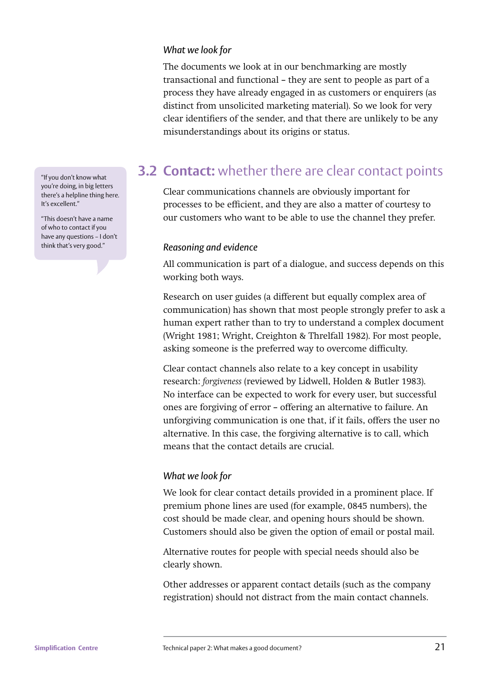#### *What we look for*

The documents we look at in our benchmarking are mostly transactional and functional – they are sent to people as part of a process they have already engaged in as customers or enquirers (as distinct from unsolicited marketing material). So we look for very clear identifiers of the sender, and that there are unlikely to be any misunderstandings about its origins or status.

### **3.2 Contact:** whether there are clear contact points

Clear communications channels are obviously important for processes to be efficient, and they are also a matter of courtesy to our customers who want to be able to use the channel they prefer.

#### *Reasoning and evidence*

All communication is part of a dialogue, and success depends on this working both ways.

Research on user guides (a different but equally complex area of communication) has shown that most people strongly prefer to ask a human expert rather than to try to understand a complex document (Wright 1981; Wright, Creighton & Threlfall 1982). For most people, asking someone is the preferred way to overcome difficulty.

Clear contact channels also relate to a key concept in usability research: *forgiveness* (reviewed by Lidwell, Holden & Butler 1983). No interface can be expected to work for every user, but successful ones are forgiving of error – offering an alternative to failure. An unforgiving communication is one that, if it fails, offers the user no alternative. In this case, the forgiving alternative is to call, which means that the contact details are crucial.

#### *What we look for*

We look for clear contact details provided in a prominent place. If premium phone lines are used (for example, 0845 numbers), the cost should be made clear, and opening hours should be shown. Customers should also be given the option of email or postal mail.

Alternative routes for people with special needs should also be clearly shown.

Other addresses or apparent contact details (such as the company registration) should not distract from the main contact channels.

"If you don't know what you're doing, in big letters there's a helpline thing here. It's excellent."

"This doesn't have a name of who to contact if you have any questions – I don't think that's very good."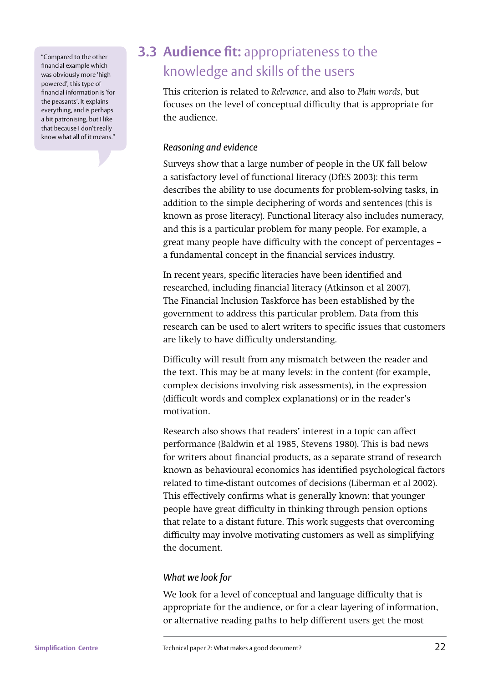"Compared to the other financial example which was obviously more 'high powered', this type of financial information is 'for the peasants'. It explains everything, and is perhaps a bit patronising, but I like that because I don't really know what all of it means."

## **3.3 Audience fit: appropriateness to the** knowledge and skills of the users

This criterion is related to *Relevance*, and also to *Plain words*, but focuses on the level of conceptual difficulty that is appropriate for the audience.

### *Reasoning and evidence*

Surveys show that a large number of people in the UK fall below a satisfactory level of functional literacy (DfES 2003): this term describes the ability to use documents for problem-solving tasks, in addition to the simple deciphering of words and sentences (this is known as prose literacy). Functional literacy also includes numeracy, and this is a particular problem for many people. For example, a great many people have difficulty with the concept of percentages a fundamental concept in the financial services industry.

In recent years, specific literacies have been identified and researched, including financial literacy (Atkinson et al 2007). The Financial Inclusion Taskforce has been established by the government to address this particular problem. Data from this research can be used to alert writers to specific issues that customers are likely to have difficulty understanding.

Difficulty will result from any mismatch between the reader and the text. This may be at many levels: in the content (for example, complex decisions involving risk assessments), in the expression (difficult words and complex explanations) or in the reader's motivation.

Research also shows that readers' interest in a topic can affect performance (Baldwin et al 1985, Stevens 1980). This is bad news for writers about financial products, as a separate strand of research known as behavioural economics has identified psychological factors related to time-distant outcomes of decisions (Liberman et al 2002). This effectively confirms what is generally known: that younger people have great difficulty in thinking through pension options that relate to a distant future. This work suggests that overcoming difficulty may involve motivating customers as well as simplifying the document.

### *What we look for*

We look for a level of conceptual and language difficulty that is appropriate for the audience, or for a clear layering of information, or alternative reading paths to help different users get the most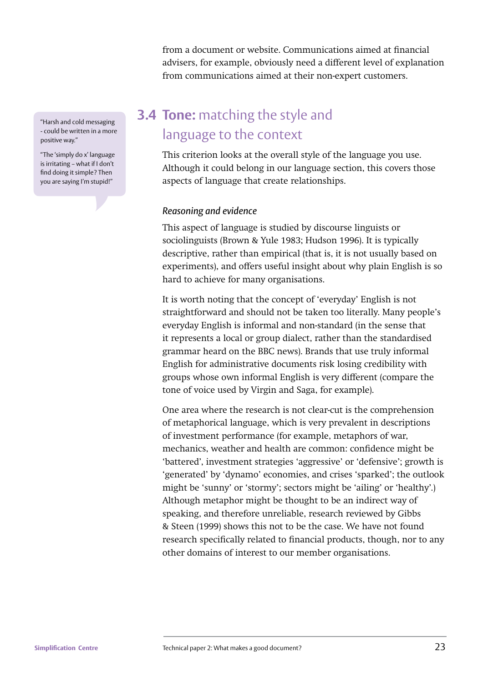from a document or website. Communications aimed at financial advisers, for example, obviously need a different level of explanation from communications aimed at their non-expert customers.

### **3.4 Tone:** matching the style and language to the context

This criterion looks at the overall style of the language you use. Although it could belong in our language section, this covers those aspects of language that create relationships.

### *Reasoning and evidence*

This aspect of language is studied by discourse linguists or sociolinguists (Brown & Yule 1983; Hudson 1996). It is typically descriptive, rather than empirical (that is, it is not usually based on experiments), and offers useful insight about why plain English is so hard to achieve for many organisations.

It is worth noting that the concept of 'everyday' English is not straightforward and should not be taken too literally. Many people's everyday English is informal and non-standard (in the sense that it represents a local or group dialect, rather than the standardised grammar heard on the BBC news). Brands that use truly informal English for administrative documents risk losing credibility with groups whose own informal English is very different (compare the tone of voice used by Virgin and Saga, for example).

One area where the research is not clear-cut is the comprehension of metaphorical language, which is very prevalent in descriptions of investment performance (for example, metaphors of war, mechanics, weather and health are common: confidence might be 'battered', investment strategies 'aggressive' or 'defensive'; growth is 'generated' by 'dynamo' economies, and crises 'sparked'; the outlook might be 'sunny' or 'stormy'; sectors might be 'ailing' or 'healthy'.) Although metaphor might be thought to be an indirect way of speaking, and therefore unreliable, research reviewed by Gibbs & Steen (1999) shows this not to be the case. We have not found research specifically related to financial products, though, nor to any other domains of interest to our member organisations.

"Harsh and cold messaging - could be written in a more positive way."

"The 'simply do x' language is irritating – what if I don't find doing it simple? Then you are saying I'm stupid!"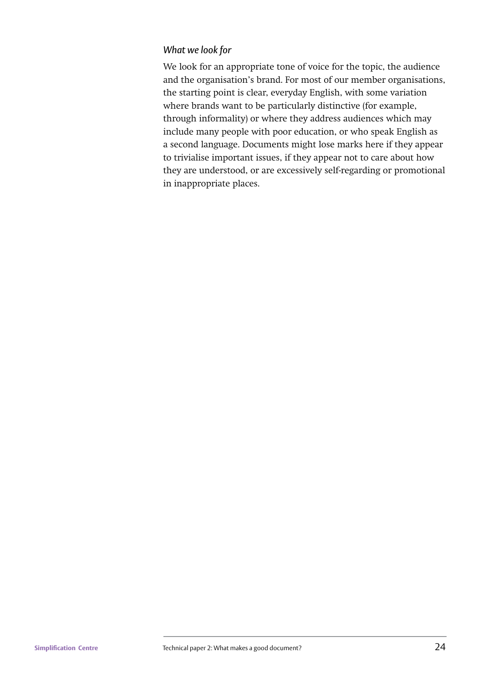### *What we look for*

We look for an appropriate tone of voice for the topic, the audience and the organisation's brand. For most of our member organisations, the starting point is clear, everyday English, with some variation where brands want to be particularly distinctive (for example, through informality) or where they address audiences which may include many people with poor education, or who speak English as a second language. Documents might lose marks here if they appear to trivialise important issues, if they appear not to care about how they are understood, or are excessively self-regarding or promotional in inappropriate places.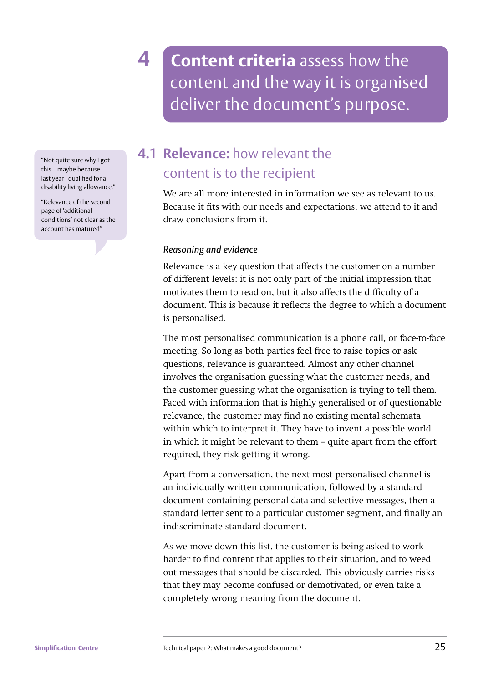**4 Content criteria** assess how the content and the way it is organised deliver the document's purpose.

"Not quite sure why I got this – maybe because last year I qualified for a disability living allowance."

"Relevance of the second page of 'additional conditions' not clear as the account has matured"

### **4.1 Relevance:** how relevant the content is to the recipient

We are all more interested in information we see as relevant to us. Because it fits with our needs and expectations, we attend to it and draw conclusions from it.

### *Reasoning and evidence*

Relevance is a key question that affects the customer on a number of different levels: it is not only part of the initial impression that motivates them to read on, but it also affects the difficulty of a document. This is because it reflects the degree to which a document is personalised.

The most personalised communication is a phone call, or face-to-face meeting. So long as both parties feel free to raise topics or ask questions, relevance is guaranteed. Almost any other channel involves the organisation guessing what the customer needs, and the customer guessing what the organisation is trying to tell them. Faced with information that is highly generalised or of questionable relevance, the customer may find no existing mental schemata within which to interpret it. They have to invent a possible world in which it might be relevant to them – quite apart from the effort required, they risk getting it wrong.

Apart from a conversation, the next most personalised channel is an individually written communication, followed by a standard document containing personal data and selective messages, then a standard letter sent to a particular customer segment, and finally an indiscriminate standard document.

As we move down this list, the customer is being asked to work harder to find content that applies to their situation, and to weed out messages that should be discarded. This obviously carries risks that they may become confused or demotivated, or even take a completely wrong meaning from the document.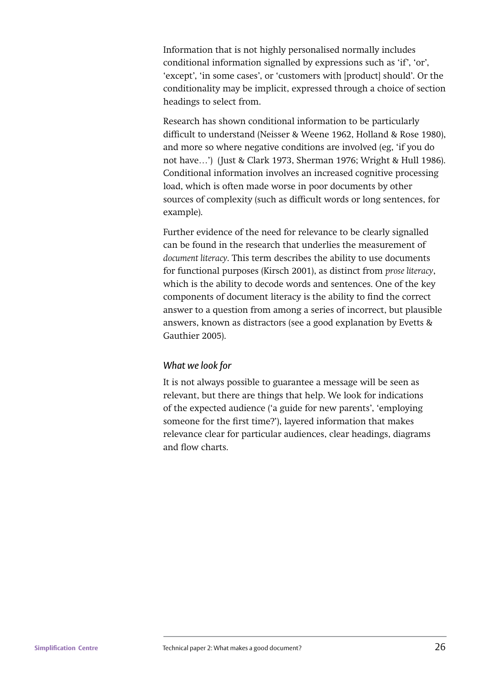Information that is not highly personalised normally includes conditional information signalled by expressions such as 'if', 'or', 'except', 'in some cases', or 'customers with [product] should'. Or the conditionality may be implicit, expressed through a choice of section headings to select from.

Research has shown conditional information to be particularly difficult to understand (Neisser & Weene 1962, Holland & Rose 1980), and more so where negative conditions are involved (eg, 'if you do not have…') (Just & Clark 1973, Sherman 1976; Wright & Hull 1986). Conditional information involves an increased cognitive processing load, which is often made worse in poor documents by other sources of complexity (such as difficult words or long sentences, for example).

Further evidence of the need for relevance to be clearly signalled can be found in the research that underlies the measurement of *document literacy*. This term describes the ability to use documents for functional purposes (Kirsch 2001), as distinct from *prose literacy*, which is the ability to decode words and sentences. One of the key components of document literacy is the ability to find the correct answer to a question from among a series of incorrect, but plausible answers, known as distractors (see a good explanation by Evetts & Gauthier 2005).

### *What we look for*

It is not always possible to guarantee a message will be seen as relevant, but there are things that help. We look for indications of the expected audience ('a guide for new parents', 'employing someone for the first time?'), layered information that makes relevance clear for particular audiences, clear headings, diagrams and flow charts.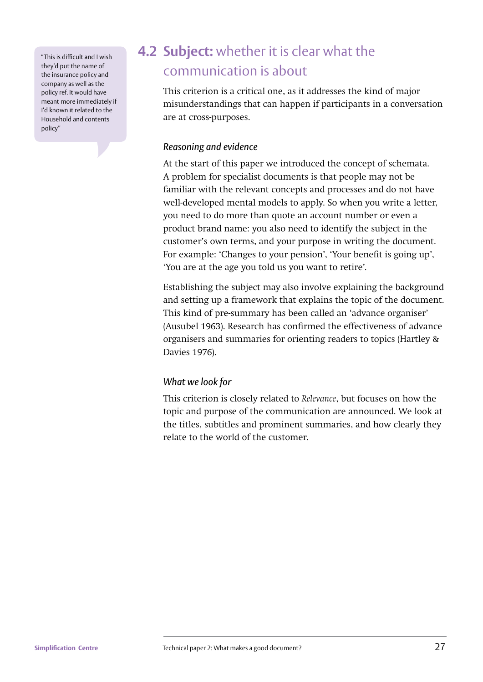"This is difficult and I wish they'd put the name of the insurance policy and company as well as the policy ref. It would have meant more immediately if I'd known it related to the Household and contents policy"

## **4.2 Subject:** whether it is clear what the communication is about

This criterion is a critical one, as it addresses the kind of major misunderstandings that can happen if participants in a conversation are at cross-purposes.

### *Reasoning and evidence*

At the start of this paper we introduced the concept of schemata. A problem for specialist documents is that people may not be familiar with the relevant concepts and processes and do not have well-developed mental models to apply. So when you write a letter, you need to do more than quote an account number or even a product brand name: you also need to identify the subject in the customer's own terms, and your purpose in writing the document. For example: 'Changes to your pension', 'Your benefit is going up', 'You are at the age you told us you want to retire'.

Establishing the subject may also involve explaining the background and setting up a framework that explains the topic of the document. This kind of pre-summary has been called an 'advance organiser' (Ausubel 1963). Research has confirmed the effectiveness of advance organisers and summaries for orienting readers to topics (Hartley & Davies 1976).

### *What we look for*

This criterion is closely related to *Relevance*, but focuses on how the topic and purpose of the communication are announced. We look at the titles, subtitles and prominent summaries, and how clearly they relate to the world of the customer.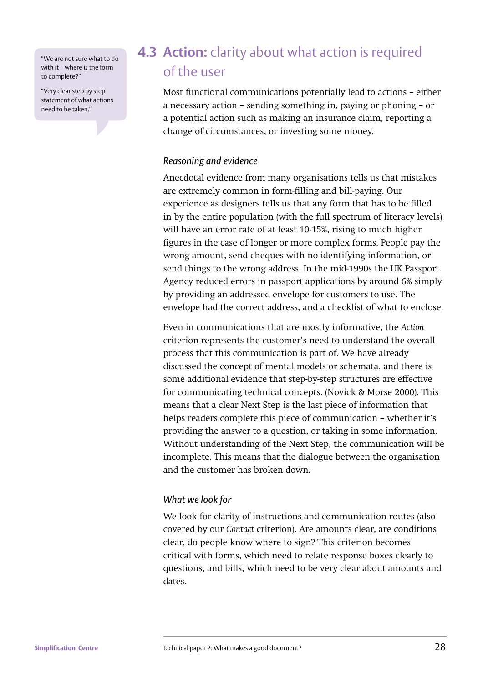"We are not sure what to do with it – where is the form to complete?"

"Very clear step by step statement of what actions need to be taken."

### **4.3 Action:** clarity about what action is required of the user

Most functional communications potentially lead to actions – either a necessary action – sending something in, paying or phoning – or a potential action such as making an insurance claim, reporting a change of circumstances, or investing some money.

#### *Reasoning and evidence*

Anecdotal evidence from many organisations tells us that mistakes are extremely common in form-filling and bill-paying. Our experience as designers tells us that any form that has to be filled in by the entire population (with the full spectrum of literacy levels) will have an error rate of at least 10-15%, rising to much higher figures in the case of longer or more complex forms. People pay the wrong amount, send cheques with no identifying information, or send things to the wrong address. In the mid-1990s the UK Passport Agency reduced errors in passport applications by around 6% simply by providing an addressed envelope for customers to use. The envelope had the correct address, and a checklist of what to enclose.

Even in communications that are mostly informative, the *Action*  criterion represents the customer's need to understand the overall process that this communication is part of. We have already discussed the concept of mental models or schemata, and there is some additional evidence that step-by-step structures are effective for communicating technical concepts. (Novick & Morse 2000). This means that a clear Next Step is the last piece of information that helps readers complete this piece of communication – whether it's providing the answer to a question, or taking in some information. Without understanding of the Next Step, the communication will be incomplete. This means that the dialogue between the organisation and the customer has broken down.

### *What we look for*

We look for clarity of instructions and communication routes (also covered by our *Contact* criterion). Are amounts clear, are conditions clear, do people know where to sign? This criterion becomes critical with forms, which need to relate response boxes clearly to questions, and bills, which need to be very clear about amounts and dates.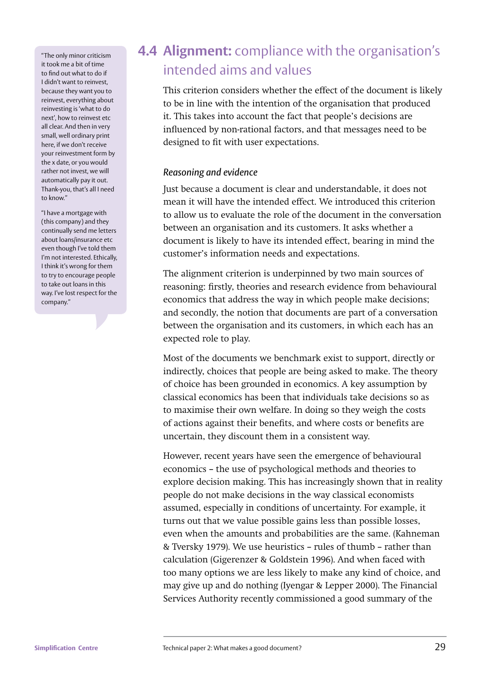"The only minor criticism it took me a bit of time to find out what to do if I didn't want to reinvest, because they want you to reinvest, everything about reinvesting is 'what to do next', how to reinvest etc all clear. And then in very small, well ordinary print here, if we don't receive your reinvestment form by the x date, or you would rather not invest, we will automatically pay it out. Thank-you, that's all I need to know."

"I have a mortgage with (this company) and they continually send me letters about loans/insurance etc even though I've told them I'm not interested. Ethically, I think it's wrong for them to try to encourage people to take out loans in this way. I've lost respect for the company."

### **4.4 Alignment:** compliance with the organisation's intended aims and values

This criterion considers whether the effect of the document is likely to be in line with the intention of the organisation that produced it. This takes into account the fact that people's decisions are influenced by non-rational factors, and that messages need to be designed to fit with user expectations.

### *Reasoning and evidence*

Just because a document is clear and understandable, it does not mean it will have the intended effect. We introduced this criterion to allow us to evaluate the role of the document in the conversation between an organisation and its customers. It asks whether a document is likely to have its intended effect, bearing in mind the customer's information needs and expectations.

The alignment criterion is underpinned by two main sources of reasoning: firstly, theories and research evidence from behavioural economics that address the way in which people make decisions; and secondly, the notion that documents are part of a conversation between the organisation and its customers, in which each has an expected role to play.

Most of the documents we benchmark exist to support, directly or indirectly, choices that people are being asked to make. The theory of choice has been grounded in economics. A key assumption by classical economics has been that individuals take decisions so as to maximise their own welfare. In doing so they weigh the costs of actions against their benefits, and where costs or benefits are uncertain, they discount them in a consistent way.

However, recent years have seen the emergence of behavioural economics – the use of psychological methods and theories to explore decision making. This has increasingly shown that in reality people do not make decisions in the way classical economists assumed, especially in conditions of uncertainty. For example, it turns out that we value possible gains less than possible losses, even when the amounts and probabilities are the same. (Kahneman & Tversky 1979). We use heuristics – rules of thumb – rather than calculation (Gigerenzer & Goldstein 1996). And when faced with too many options we are less likely to make any kind of choice, and may give up and do nothing (Iyengar & Lepper 2000). The Financial Services Authority recently commissioned a good summary of the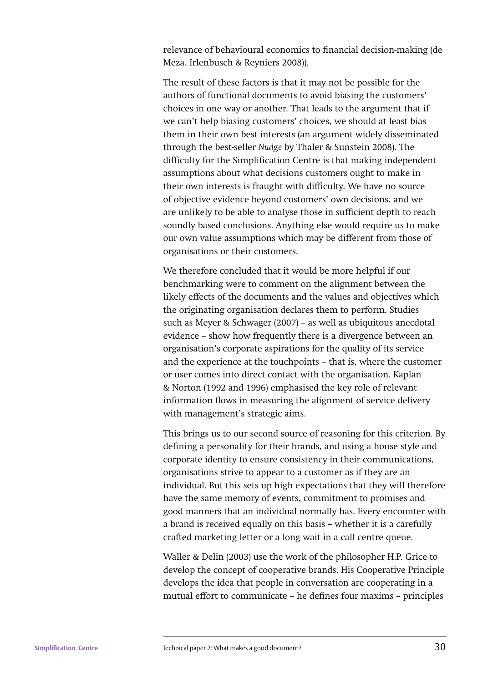relevance of behavioural economics to financial decision-making (de Meza, Irlenbusch & Reyniers 2008)).

The result of these factors is that it may not be possible for the authors of functional documents to avoid biasing the customers' choices in one way or another. That leads to the argument that if we can't help biasing customers' choices, we should at least bias them in their own best interests (an argument widely disseminated through the best-seller *Nudge* by Thaler & Sunstein 2008). The difficulty for the Simplification Centre is that making independent assumptions about what decisions customers ought to make in their own interests is fraught with difficulty. We have no source of objective evidence beyond customers' own decisions, and we are unlikely to be able to analyse those in sufficient depth to reach soundly based conclusions. Anything else would require us to make our own value assumptions which may be different from those of organisations or their customers.

We therefore concluded that it would be more helpful if our benchmarking were to comment on the alignment between the likely effects of the documents and the values and objectives which the originating organisation declares them to perform. Studies such as Meyer & Schwager (2007) – as well as ubiquitous anecdotal evidence – show how frequently there is a divergence between an organisation's corporate aspirations for the quality of its service and the experience at the touchpoints – that is, where the customer or user comes into direct contact with the organisation. Kaplan & Norton (1992 and 1996) emphasised the key role of relevant information flows in measuring the alignment of service delivery with management's strategic aims.

This brings us to our second source of reasoning for this criterion. By defining a personality for their brands, and using a house style and corporate identity to ensure consistency in their communications, organisations strive to appear to a customer as if they are an individual. But this sets up high expectations that they will therefore have the same memory of events, commitment to promises and good manners that an individual normally has. Every encounter with a brand is received equally on this basis – whether it is a carefully crafted marketing letter or a long wait in a call centre queue.

Waller & Delin (2003) use the work of the philosopher H.P. Grice to develop the concept of cooperative brands. His Cooperative Principle develops the idea that people in conversation are cooperating in a mutual effort to communicate - he defines four maxims - principles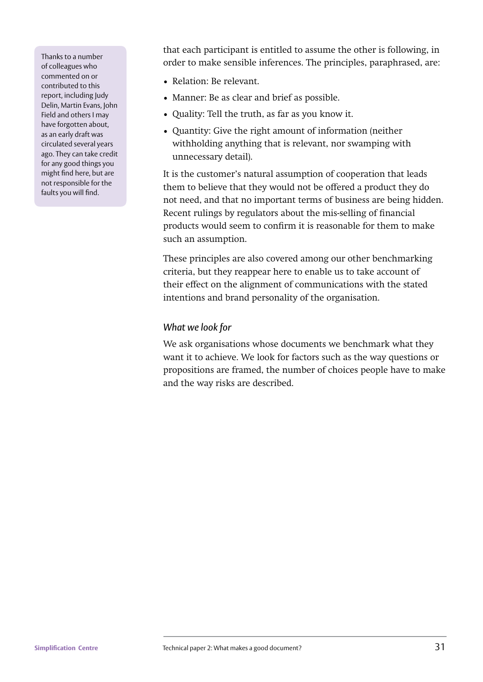Thanks to a number of colleagues who commented on or contributed to this report, including Judy Delin, Martin Evans, John Field and others I may have forgotten about, as an early draft was circulated several years ago. They can take credit for any good things you might find here, but are not responsible for the faults you will find.

that each participant is entitled to assume the other is following, in order to make sensible inferences. The principles, paraphrased, are:

- Relation: Be relevant.
- Manner: Be as clear and brief as possible.
- Quality: Tell the truth, as far as you know it.
- Quantity: Give the right amount of information (neither withholding anything that is relevant, nor swamping with unnecessary detail).

It is the customer's natural assumption of cooperation that leads them to believe that they would not be offered a product they do not need, and that no important terms of business are being hidden. Recent rulings by regulators about the mis-selling of financial products would seem to confirm it is reasonable for them to make such an assumption.

These principles are also covered among our other benchmarking criteria, but they reappear here to enable us to take account of their effect on the alignment of communications with the stated intentions and brand personality of the organisation.

#### *What we look for*

We ask organisations whose documents we benchmark what they want it to achieve. We look for factors such as the way questions or propositions are framed, the number of choices people have to make and the way risks are described.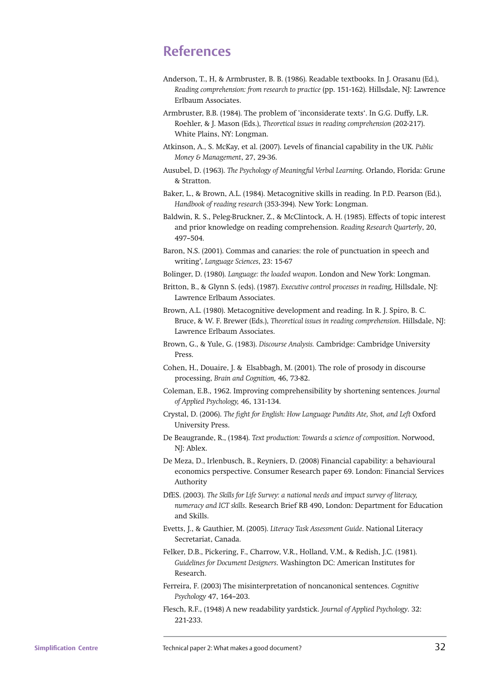### **References**

- Anderson, T., H, & Armbruster, B. B. (1986). Readable textbooks. In J. Orasanu (Ed.), *Reading comprehension: from research to practice* (pp. 151-162). Hillsdale, NJ: Lawrence Erlbaum Associates.
- Armbruster, B.B. (1984). The problem of 'inconsiderate texts'. In G.G. Duffy, L.R. Roehler, & J. Mason (Eds.), *Theoretical issues in reading comprehension* (202-217). White Plains, NY: Longman.
- Atkinson, A., S. McKay, et al. (2007). Levels of !nancial capability in the UK. *Public Money & Management*, 27, 29-36.
- Ausubel, D. (1963). *The Psychology of Meaningful Verbal Learning*. Orlando, Florida: Grune & Stratton.
- Baker, L., & Brown, A.L. (1984). Metacognitive skills in reading. In P.D. Pearson (Ed.), *Handbook of reading research* (353-394). New York: Longman.
- Baldwin, R. S., Peleg-Bruckner, Z., & McClintock, A. H. (1985). Effects of topic interest and prior knowledge on reading comprehension. *Reading Research Quarterly*, 20, 497–504.
- Baron, N.S. (2001). Commas and canaries: the role of punctuation in speech and writing', *Language Sciences*, 23: 15-67
- Bolinger, D. (1980). *Language: the loaded weapon*. London and New York: Longman.
- Britton, B., & Glynn S. (eds). (1987). *Executive control processes in reading,* Hillsdale, NJ: Lawrence Erlbaum Associates.
- Brown, A.L. (1980). Metacognitive development and reading. In R. J. Spiro, B. C. Bruce, & W. F. Brewer (Eds.), *Theoretical issues in reading comprehension*. Hillsdale, NJ: Lawrence Erlbaum Associates.
- Brown, G., & Yule, G. (1983). *Discourse Analysis.* Cambridge: Cambridge University Press.
- Cohen, H., Douaire, J. & Elsabbagh, M. (2001). The role of prosody in discourse processing, *Brain and Cognition,* 46, 73-82.
- Coleman, E.B., 1962. Improving comprehensibility by shortening sentences. *Journal of Applied Psychology,* 46, 131-134.
- Crystal, D. (2006). *The !ght for English: How Language Pundits Ate, Shot, and Left* Oxford University Press.
- De Beaugrande, R., (1984). *Text production: Towards a science of composition*. Norwood, NJ: Ablex.
- De Meza, D., Irlenbusch, B., Reyniers, D. (2008) Financial capability: a behavioural economics perspective. Consumer Research paper 69. London: Financial Services Authority
- DfES. (2003). *The Skills for Life Survey: a national needs and impact survey of literacy, numeracy and ICT skills*. Research Brief RB 490, London: Department for Education and Skills.
- Evetts, J., & Gauthier, M. (2005). *Literacy Task Assessment Guide*. National Literacy Secretariat, Canada.
- Felker, D.B., Pickering, F., Charrow, V.R., Holland, V.M., & Redish, J.C. (1981). *Guidelines for Document Designers*. Washington DC: American Institutes for Research.
- Ferreira, F. (2003) The misinterpretation of noncanonical sentences. *Cognitive Psychology* 47, 164–203.
- Flesch, R.F., (1948) A new readability yardstick. *Journal of Applied Psychology*. 32: 221-233.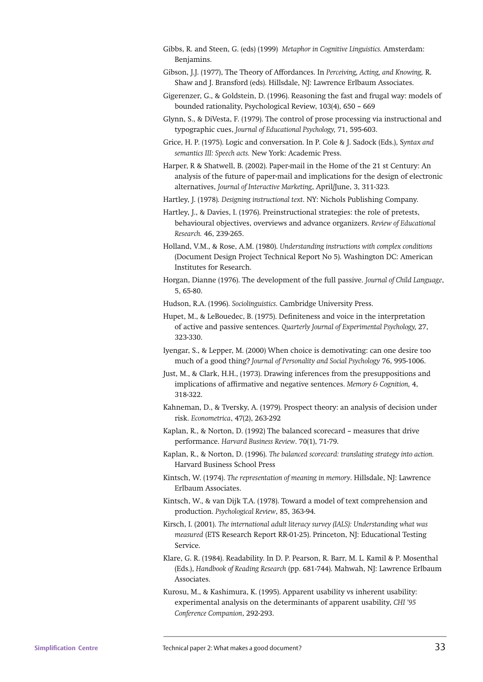- Gibbs, R. and Steen, G. (eds) (1999) *Metaphor in Cognitive Linguistics.* Amsterdam: Benjamins.
- Gibson, J.J. (1977), The Theory of Affordances. In *Perceiving, Acting, and Knowing,* R. Shaw and J. Bransford (eds). Hillsdale, NJ: Lawrence Erlbaum Associates.
- Gigerenzer, G., & Goldstein, D. (1996). Reasoning the fast and frugal way: models of bounded rationality, Psychological Review, 103(4), 650 – 669
- Glynn, S., & DiVesta, F. (1979). The control of prose processing via instructional and typographic cues, *Journal of Educational Psychology,* 71, 595-603.
- Grice, H. P. (1975). Logic and conversation. In P. Cole & J. Sadock (Eds.), S*yntax and semantics III: Speech acts.* New York: Academic Press.
- Harper, R & Shatwell, B. (2002). Paper-mail in the Home of the 21 st Century: An analysis of the future of paper-mail and implications for the design of electronic alternatives, *Journal of Interactive Marketing*, April/June, 3, 311-323.
- Hartley, J. (1978). *Designing instructional text*. NY: Nichols Publishing Company.
- Hartley, J., & Davies, I. (1976). Preinstructional strategies: the role of pretests, behavioural objectives, overviews and advance organizers. *Review of Educational Research.* 46, 239-265.
- Holland, V.M., & Rose, A.M. (1980). *Understanding instructions with complex conditions* (Document Design Project Technical Report No 5). Washington DC: American Institutes for Research.
- Horgan, Dianne (1976). The development of the full passive. *Journal of Child Language*, 5, 65-80.
- Hudson, R.A. (1996). *Sociolinguistics*. Cambridge University Press.
- Hupet, M., & LeBouedec, B. (1975). Definiteness and voice in the interpretation of active and passive sentences. *Quarterly Journal of Experimental Psychology,* 27, 323-330.
- Iyengar, S., & Lepper, M. (2000) When choice is demotivating: can one desire too much of a good thing? *Journal of Personality and Social Psychology* 76, 995-1006.
- Just, M., & Clark, H.H., (1973). Drawing inferences from the presuppositions and implications of affirmative and negative sentences. *Memory & Cognition*, 4, 318-322.
- Kahneman, D., & Tversky, A. (1979). Prospect theory: an analysis of decision under risk. *Econometrica*, 47(2), 263-292
- Kaplan, R., & Norton, D. (1992) The balanced scorecard measures that drive performance. *Harvard Business Review*. 70(1), 71-79.
- Kaplan, R., & Norton, D. (1996). *The balanced scorecard: translating strategy into action.* Harvard Business School Press
- Kintsch, W. (1974). *The representation of meaning in memory*. Hillsdale, NJ: Lawrence Erlbaum Associates.
- Kintsch, W., & van Dijk T.A. (1978). Toward a model of text comprehension and production. *Psychological Review*, 85, 363-94.
- Kirsch, I. (2001). *The international adult literacy survey (IALS): Understanding what was measured* (ETS Research Report RR-01-25). Princeton, NJ: Educational Testing Service.
- Klare, G. R. (1984). Readability. In D. P. Pearson, R. Barr, M. L. Kamil & P. Mosenthal (Eds.), *Handbook of Reading Research* (pp. 681-744). Mahwah, NJ: Lawrence Erlbaum Associates.
- Kurosu, M., & Kashimura, K. (1995). Apparent usability vs inherent usability: experimental analysis on the determinants of apparent usability, *CHI '95 Conference Companion*, 292-293.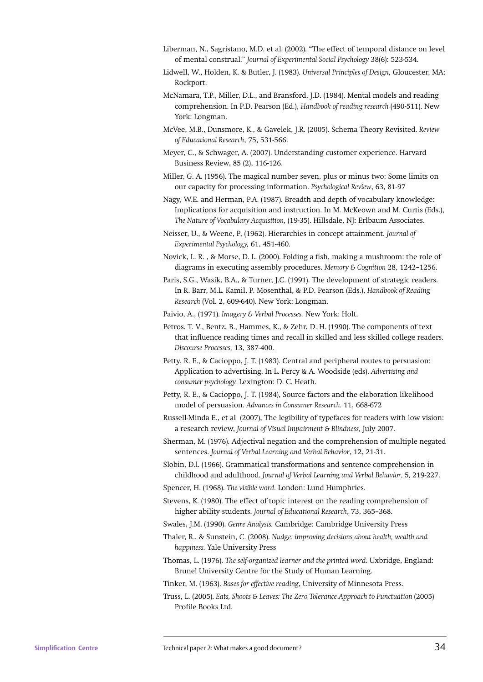- Liberman, N., Sagristano, M.D. et al. (2002). "The effect of temporal distance on level of mental construal." *Journal of Experimental Social Psychology* 38(6): 523-534.
- Lidwell, W., Holden, K. & Butler, J. (1983). *Universal Principles of Design,* Gloucester, MA: Rockport.
- McNamara, T.P., Miller, D.L., and Bransford, J.D. (1984). Mental models and reading comprehension. In P.D. Pearson (Ed.), *Handbook of reading research* (490-511). New York: Longman.
- McVee, M.B., Dunsmore, K., & Gavelek, J.R. (2005). Schema Theory Revisited. *Review of Educational Research*, 75, 531-566.
- Meyer, C., & Schwager, A. (2007). Understanding customer experience. Harvard Business Review, 85 (2), 116-126.
- Miller, G. A. (1956). The magical number seven, plus or minus two: Some limits on our capacity for processing information. *Psychological Review*, 63, 81-97
- Nagy, W.E. and Herman, P.A. (1987). Breadth and depth of vocabulary knowledge: Implications for acquisition and instruction. In M. McKeown and M. Curtis (Eds.), *The Nature of Vocabulary Acquisition,* (19-35). Hillsdale, NJ: Erlbaum Associates.
- Neisser, U., & Weene, P, (1962). Hierarchies in concept attainment. *Journal of Experimental Psychology,* 61, 451-460.
- Novick, L. R., & Morse, D. L. (2000). Folding a fish, making a mushroom: the role of diagrams in executing assembly procedures. *Memory & Cognition* 28, 1242–1256.
- Paris, S.G., Wasik, B.A., & Turner, J.C. (1991). The development of strategic readers. In R. Barr, M.L. Kamil, P. Mosenthal, & P.D. Pearson (Eds.), *Handbook of Reading Research* (Vol. 2, 609-640). New York: Longman.
- Paivio, A., (1971). *Imagery & Verbal Processes.* New York: Holt.
- Petros, T. V., Bentz, B., Hammes, K., & Zehr, D. H. (1990). The components of text that influence reading times and recall in skilled and less skilled college readers. *Discourse Processes,* 13, 387-400.
- Petty, R. E., & Cacioppo, J. T. (1983). Central and peripheral routes to persuasion: Application to advertising. In L. Percy & A. Woodside (eds). *Advertising and consumer psychology.* Lexington: D. C. Heath.
- Petty, R. E., & Cacioppo, J. T. (1984), Source factors and the elaboration likelihood model of persuasion. *Advances in Consumer Research.* 11, 668-672
- Russell-Minda E., et al (2007), The legibility of typefaces for readers with low vision: a research review, *Journal of Visual Impairment & Blindness,* July 2007.
- Sherman, M. (1976). Adjectival negation and the comprehension of multiple negated sentences. *Journal of Verbal Learning and Verbal Behavior*, 12, 21-31.
- Slobin, D.l. (1966). Grammatical transformations and sentence comprehension in childhood and adulthood. *Journal of Verbal Learning and Verbal Behavior,* 5*,* 219-227.
- Spencer, H. (1968). *The visible word.* London: Lund Humphries.
- Stevens, K. (1980). The effect of topic interest on the reading comprehension of higher ability students. *Journal of Educational Research*, 73, 365–368.
- Swales, J.M. (1990). *Genre Analysis.* Cambridge: Cambridge University Press
- Thaler, R., & Sunstein, C. (2008). *Nudge: improving decisions about health, wealth and happiness.* Yale University Press
- Thomas, L. (1976). *The self-organized learner and the printed word*. Uxbridge, England: Brunel University Centre for the Study of Human Learning.
- Tinker, M. (1963). *Bases for effective reading*, University of Minnesota Press.
- Truss, L. (2005). *Eats, Shoots & Leaves: The Zero Tolerance Approach to Punctuation* (2005) Profile Books Ltd.